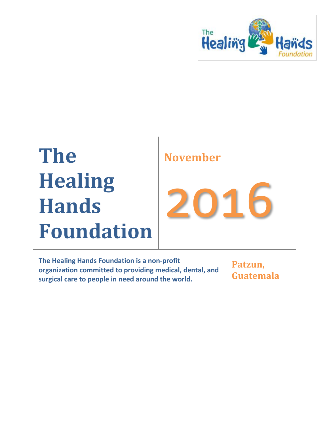

# **The Healing Hands Foundation**

## **November**

2016

**The Healing Hands Foundation is a non-profit organization committed to providing medical, dental, and surgical care to people in need around the world.**

**Patzun, Guatemala**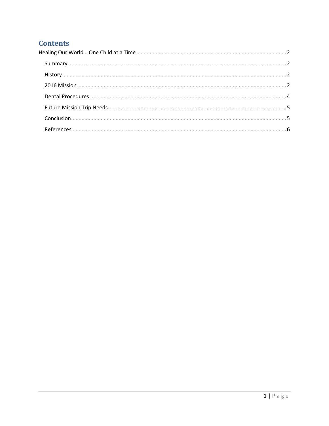## **Contents**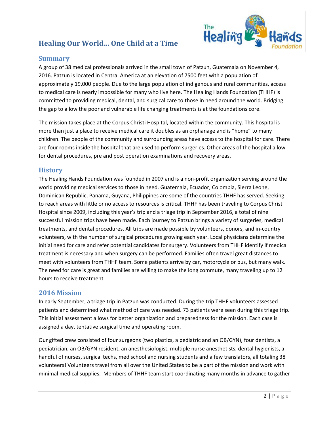### <span id="page-2-0"></span>**Healing Our World… One Child at a Time**



#### <span id="page-2-1"></span>**Summary**

A group of 38 medical professionals arrived in the small town of Patzun, Guatemala on November 4, 2016. Patzun is located in Central America at an elevation of 7500 feet with a population of approximately 19,000 people. Due to the large population of indigenous and rural communities, access to medical care is nearly impossible for many who live here. The Healing Hands Foundation (THHF) is committed to providing medical, dental, and surgical care to those in need around the world. Bridging the gap to allow the poor and vulnerable life changing treatments is at the foundations core.

The mission takes place at the Corpus Christi Hospital, located within the community. This hospital is more than just a place to receive medical care it doubles as an orphanage and is "home" to many children. The people of the community and surrounding areas have access to the hospital for care. There are four rooms inside the hospital that are used to perform surgeries. Other areas of the hospital allow for dental procedures, pre and post operation examinations and recovery areas.

#### <span id="page-2-2"></span>**History**

The Healing Hands Foundation was founded in 2007 and is a non-profit organization serving around the world providing medical services to those in need. Guatemala, Ecuador, Colombia, Sierra Leone, Dominican Republic, Panama, Guyana, Philippines are some of the countries THHF has served. Seeking to reach areas with little or no access to resources is critical. THHF has been traveling to Corpus Christi Hospital since 2009, including this year's trip and a triage trip in September 2016, a total of nine successful mission trips have been made. Each journey to Patzun brings a variety of surgeries, medical treatments, and dental procedures. All trips are made possible by volunteers, donors, and in-country volunteers, with the number of surgical procedures growing each year. Local physicians determine the initial need for care and refer potential candidates for surgery. Volunteers from THHF identify if medical treatment is necessary and when surgery can be performed. Families often travel great distances to meet with volunteers from THHF team. Some patients arrive by car, motorcycle or bus, but many walk. The need for care is great and families are willing to make the long commute, many traveling up to 12 hours to receive treatment.

#### <span id="page-2-3"></span>**2016 Mission**

In early September, a triage trip in Patzun was conducted. During the trip THHF volunteers assessed patients and determined what method of care was needed. 73 patients were seen during this triage trip. This initial assessment allows for better organization and preparedness for the mission. Each case is assigned a day, tentative surgical time and operating room.

Our gifted crew consisted of four surgeons (two plastics, a pediatric and an OB/GYN), four dentists, a pediatrician, an OB/GYN resident, an anesthesiologist, multiple nurse anesthetists, dental hygienists, a handful of nurses, surgical techs, med school and nursing students and a few translators, all totaling 38 volunteers! Volunteers travel from all over the United States to be a part of the mission and work with minimal medical supplies. Members of THHF team start coordinating many months in advance to gather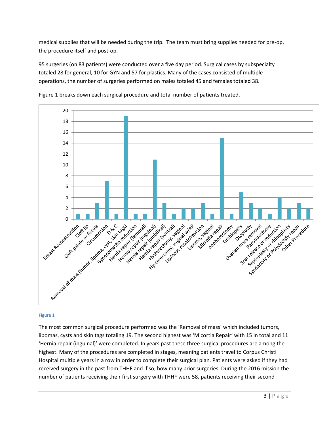medical supplies that will be needed during the trip. The team must bring supplies needed for pre-op, the procedure itself and post-op.

95 surgeries (on 83 patients) were conducted over a five day period. Surgical cases by subspecialty totaled 28 for general, 10 for GYN and 57 for plastics. Many of the cases consisted of multiple operations, the number of surgeries performed on males totaled 45 and females totaled 38.



Figure 1 breaks down each surgical procedure and total number of patients treated.

#### **Figure 1**

The most common surgical procedure performed was the 'Removal of mass' which included tumors, lipomas, cysts and skin tags totaling 19. The second highest was 'Micortia Repair' with 15 in total and 11 'Hernia repair (inguinal)' were completed. In years past these three surgical procedures are among the highest. Many of the procedures are completed in stages, meaning patients travel to Corpus Christi Hospital multiple years in a row in order to complete their surgical plan. Patients were asked if they had received surgery in the past from THHF and if so, how many prior surgeries. During the 2016 mission the number of patients receiving their first surgery with THHF were 58, patients receiving their second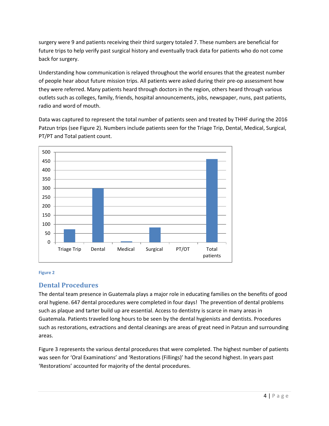surgery were 9 and patients receiving their third surgery totaled 7. These numbers are beneficial for future trips to help verify past surgical history and eventually track data for patients who do not come back for surgery.

Understanding how communication is relayed throughout the world ensures that the greatest number of people hear about future mission trips. All patients were asked during their pre-op assessment how they were referred. Many patients heard through doctors in the region, others heard through various outlets such as colleges, family, friends, hospital announcements, jobs, newspaper, nuns, past patients, radio and word of mouth.

Data was captured to represent the total number of patients seen and treated by THHF during the 2016 Patzun trips (see Figure 2). Numbers include patients seen for the Triage Trip, Dental, Medical, Surgical, PT/PT and Total patient count.



#### **Figure 2**

#### <span id="page-4-0"></span>**Dental Procedures**

The dental team presence in Guatemala plays a major role in educating families on the benefits of good oral hygiene. 647 dental procedures were completed in four days! The prevention of dental problems such as plaque and tarter build up are essential. Access to dentistry is scarce in many areas in Guatemala. Patients traveled long hours to be seen by the dental hygienists and dentists. Procedures such as restorations, extractions and dental cleanings are areas of great need in Patzun and surrounding areas.

Figure 3 represents the various dental procedures that were completed. The highest number of patients was seen for 'Oral Examinations' and 'Restorations (Fillings)' had the second highest. In years past 'Restorations' accounted for majority of the dental procedures.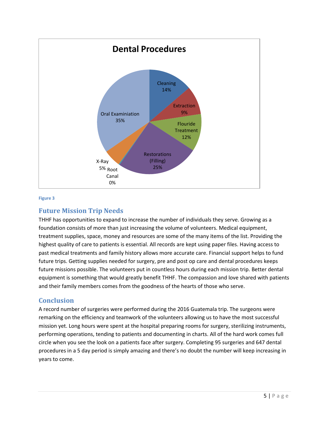

#### **Figure 3**

#### <span id="page-5-0"></span>**Future Mission Trip Needs**

THHF has opportunities to expand to increase the number of individuals they serve. Growing as a foundation consists of more than just increasing the volume of volunteers. Medical equipment, treatment supplies, space, money and resources are some of the many items of the list. Providing the highest quality of care to patients is essential. All records are kept using paper files. Having access to past medical treatments and family history allows more accurate care. Financial support helps to fund future trips. Getting supplies needed for surgery, pre and post op care and dental procedures keeps future missions possible. The volunteers put in countless hours during each mission trip. Better dental equipment is something that would greatly benefit THHF. The compassion and love shared with patients and their family members comes from the goodness of the hearts of those who serve.

#### <span id="page-5-1"></span>**Conclusion**

A record number of surgeries were performed during the 2016 Guatemala trip. The surgeons were remarking on the efficiency and teamwork of the volunteers allowing us to have the most successful mission yet. Long hours were spent at the hospital preparing rooms for surgery, sterilizing instruments, performing operations, tending to patients and documenting in charts. All of the hard work comes full circle when you see the look on a patients face after surgery. Completing 95 surgeries and 647 dental procedures in a 5 day period is simply amazing and there's no doubt the number will keep increasing in years to come.